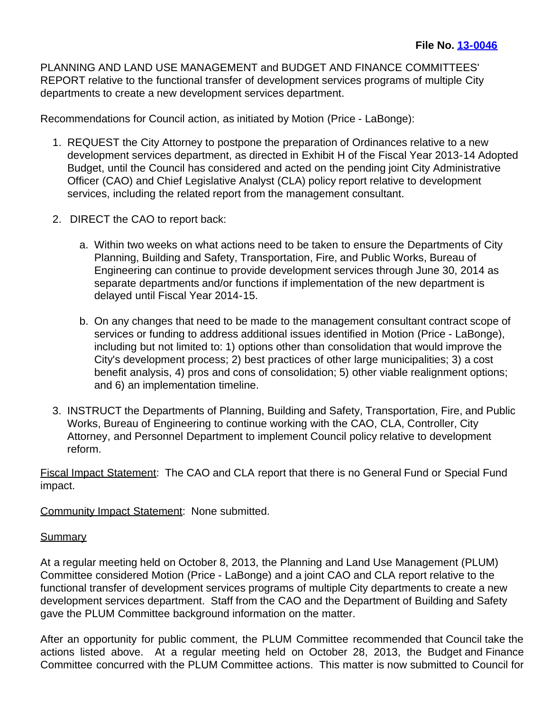PLANNING AND LAND USE MANAGEMENT and BUDGET AND FINANCE COMMITTEES' REPORT relative to the functional transfer of development services programs of multiple City departments to create a new development services department.

Recommendations for Council action, as initiated by Motion (Price - LaBonge):

- 1. REQUEST the City Attorney to postpone the preparation of Ordinances relative to a new development services department, as directed in Exhibit H of the Fiscal Year 2013-14 Adopted Budget, until the Council has considered and acted on the pending joint City Administrative Officer (CAO) and Chief Legislative Analyst (CLA) policy report relative to development services, including the related report from the management consultant.
- 2. DIRECT the CAO to report back:
	- a. Within two weeks on what actions need to be taken to ensure the Departments of City Planning, Building and Safety, Transportation, Fire, and Public Works, Bureau of Engineering can continue to provide development services through June 30, 2014 as separate departments and/or functions if implementation of the new department is delayed until Fiscal Year 2014-15.
	- b. On any changes that need to be made to the management consultant contract scope of services or funding to address additional issues identified in Motion (Price - LaBonge), including but not limited to: 1) options other than consolidation that would improve the City's development process; 2) best practices of other large municipalities; 3) a cost benefit analysis, 4) pros and cons of consolidation; 5) other viable realignment options; and 6) an implementation timeline.
- 3. INSTRUCT the Departments of Planning, Building and Safety, Transportation, Fire, and Public Works, Bureau of Engineering to continue working with the CAO, CLA, Controller, City Attorney, and Personnel Department to implement Council policy relative to development reform.

Fiscal Impact Statement: The CAO and CLA report that there is no General Fund or Special Fund impact.

Community Impact Statement: None submitted.

## **Summary**

At a regular meeting held on October 8, 2013, the Planning and Land Use Management (PLUM) Committee considered Motion (Price - LaBonge) and a joint CAO and CLA report relative to the functional transfer of development services programs of multiple City departments to create a new development services department. Staff from the CAO and the Department of Building and Safety gave the PLUM Committee background information on the matter.

After an opportunity for public comment, the PLUM Committee recommended that Council take the actions listed above. At a regular meeting held on October 28, 2013, the Budget and Finance Committee concurred with the PLUM Committee actions. This matter is now submitted to Council for